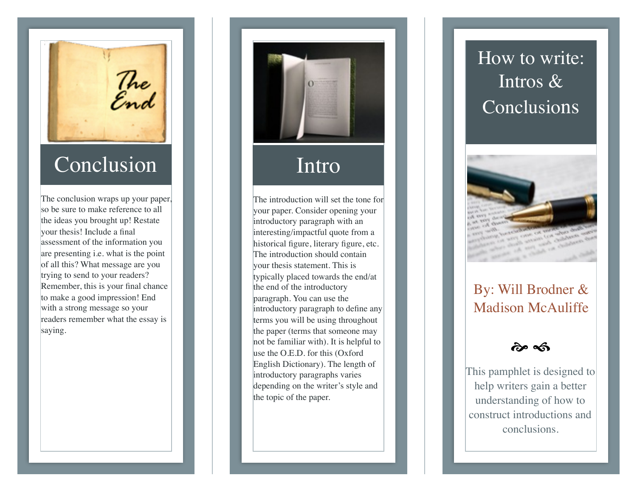The<br>End

## **Conclusion**

The conclusion wraps up your paper, so be sure to make reference to all the ideas you brought up! Restate your thesis! Include a final assessment of the information you are presenting i.e. what is the point of all this? What message are you trying to send to your readers? Remember, this is your final chance to make a good impression! End with a strong message so your readers remember what the essay is saying.



## Intro

The introduction will set the tone for your paper. Consider opening your introductory paragraph with an interesting/impactful quote from a historical figure, literary figure, etc. The introduction should contain your thesis statement. This is typically placed towards the end/at the end of the introductory paragraph. You can use the introductory paragraph to define any terms you will be using throughout the paper (terms that someone may not be familiar with). It is helpful to use the O.E.D. for this (Oxford English Dictionary). The length of introductory paragraphs varies depending on the writer's style and the topic of the paper.

## How to write: Intros & Conclusions



### By: Will Brodner & Madison McAuliffe

 $\approx \infty$ 

This pamphlet is designed to help writers gain a better understanding of how to construct introductions and conclusions.